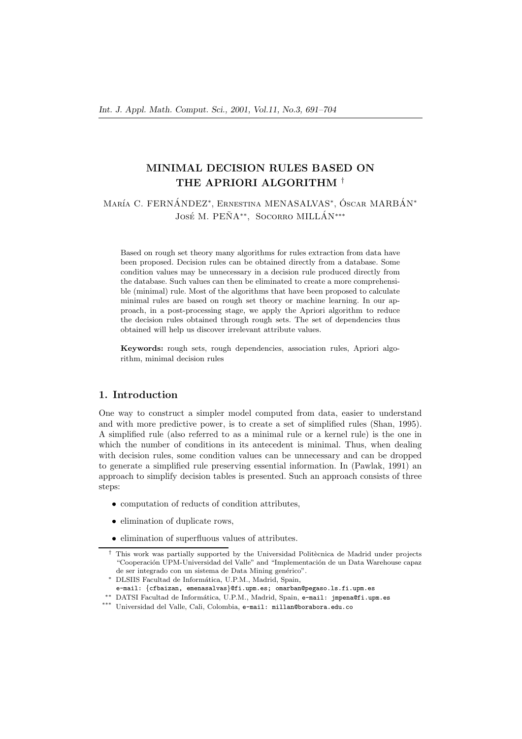# **MINIMAL DECISION RULES BASED ON THE APRIORI ALGORITHM** *†*

María C. FERNÁNDEZ<sup>\*</sup>, Ernestina MENASALVAS<sup>\*</sup>, Óscar MARBÁN<sup>\*</sup> José M. PEÑA<sup>\*\*</sup>, Socorro MILLÁN<sup>\*\*\*</sup>

Based on rough set theory many algorithms for rules extraction from data have been proposed. Decision rules can be obtained directly from a database. Some condition values may be unnecessary in a decision rule produced directly from the database. Such values can then be eliminated to create a more comprehensible (minimal) rule. Most of the algorithms that have been proposed to calculate minimal rules are based on rough set theory or machine learning. In our approach, in a post-processing stage, we apply the Apriori algorithm to reduce the decision rules obtained through rough sets. The set of dependencies thus obtained will help us discover irrelevant attribute values.

**Keywords:** rough sets, rough dependencies, association rules, Apriori algorithm, minimal decision rules

# **1. Introduction**

One way to construct a simpler model computed from data, easier to understand and with more predictive power, is to create a set of simplified rules (Shan, 1995). A simplified rule (also referred to as a minimal rule or a kernel rule) is the one in which the number of conditions in its antecedent is minimal. Thus, when dealing with decision rules, some condition values can be unnecessary and can be dropped to generate a simplified rule preserving essential information. In (Pawlak, 1991) an approach to simplify decision tables is presented. Such an approach consists of three steps:

- computation of reducts of condition attributes,
- elimination of duplicate rows,
- elimination of superfluous values of attributes.

<sup>&</sup>lt;sup>†</sup> This work was partially supported by the Universidad Politècnica de Madrid under projects "Cooperación UPM-Universidad del Valle" and "Implementación de un Data Warehouse capaz de ser integrado con un sistema de Data Mining genérico".

*<sup>∗</sup>* DLSIIS Facultad de Inform´atica, U.P.M., Madrid, Spain,

e-mail: {cfbaizan, emenasalvas}@fi.upm.es; omarban@pegaso.ls.fi.upm.es

*<sup>∗∗</sup>* DATSI Facultad de Inform´atica, U.P.M., Madrid, Spain, e-mail: jmpena@fi.upm.es

<sup>\*\*\*</sup> Universidad del Valle, Cali, Colombia, e-mail: millan@borabora.edu.co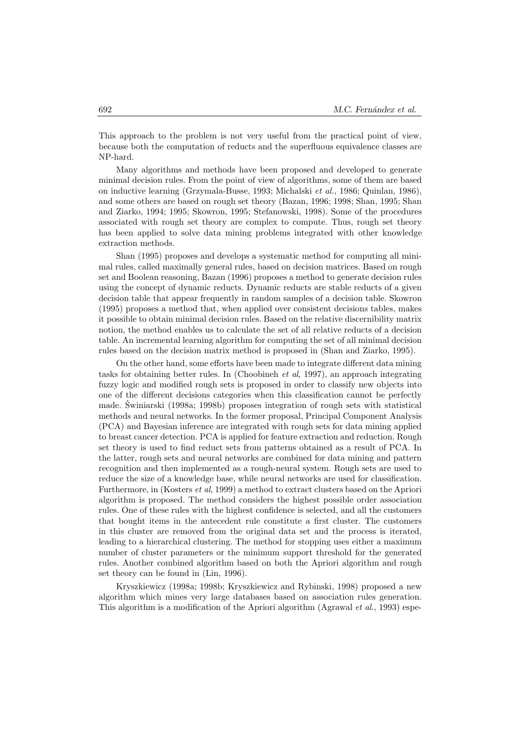This approach to the problem is not very useful from the practical point of view, because both the computation of reducts and the superfluous equivalence classes are NP-hard.

Many algorithms and methods have been proposed and developed to generate minimal decision rules. From the point of view of algorithms, some of them are based on inductive learning (Grzymala-Busse, 1993; Michalski *et al.*, 1986; Quinlan, 1986), and some others are based on rough set theory (Bazan, 1996; 1998; Shan, 1995; Shan and Ziarko, 1994; 1995; Skowron, 1995; Stefanowski, 1998). Some of the procedures associated with rough set theory are complex to compute. Thus, rough set theory has been applied to solve data mining problems integrated with other knowledge extraction methods.

Shan (1995) proposes and develops a systematic method for computing all minimal rules, called maximally general rules, based on decision matrices. Based on rough set and Boolean reasoning, Bazan (1996) proposes a method to generate decision rules using the concept of dynamic reducts. Dynamic reducts are stable reducts of a given decision table that appear frequently in random samples of a decision table. Skowron (1995) proposes a method that, when applied over consistent decisions tables, makes it possible to obtain minimal decision rules. Based on the relative discernibility matrix notion, the method enables us to calculate the set of all relative reducts of a decision table. An incremental learning algorithm for computing the set of all minimal decision rules based on the decision matrix method is proposed in (Shan and Ziarko, 1995).

On the other hand, some efforts have been made to integrate different data mining tasks for obtaining better rules. In (Choobineh *et al*, 1997), an approach integrating fuzzy logic and modified rough sets is proposed in order to classify new objects into one of the different decisions categories when this classification cannot be perfectly made. Świniarski (1998a; 1998b) proposes integration of rough sets with statistical methods and neural networks. In the former proposal, Principal Component Analysis (PCA) and Bayesian inference are integrated with rough sets for data mining applied to breast cancer detection. PCA is applied for feature extraction and reduction. Rough set theory is used to find reduct sets from patterns obtained as a result of PCA. In the latter, rough sets and neural networks are combined for data mining and pattern recognition and then implemented as a rough-neural system. Rough sets are used to reduce the size of a knowledge base, while neural networks are used for classification. Furthermore, in (Kosters *et al*, 1999) a method to extract clusters based on the Apriori algorithm is proposed. The method considers the highest possible order association rules. One of these rules with the highest confidence is selected, and all the customers that bought items in the antecedent rule constitute a first cluster. The customers in this cluster are removed from the original data set and the process is iterated, leading to a hierarchical clustering. The method for stopping uses either a maximum number of cluster parameters or the minimum support threshold for the generated rules. Another combined algorithm based on both the Apriori algorithm and rough set theory can be found in (Lin, 1996).

Kryszkiewicz (1998a; 1998b; Kryszkiewicz and Rybinski, 1998) proposed a new algorithm which mines very large databases based on association rules generation. This algorithm is a modification of the Apriori algorithm (Agrawal *et al*., 1993) espe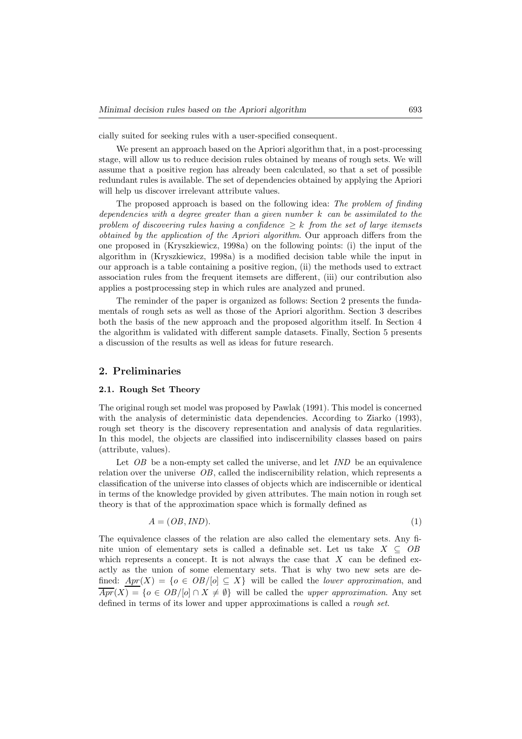cially suited for seeking rules with a user-specified consequent.

We present an approach based on the Apriori algorithm that, in a post-processing stage, will allow us to reduce decision rules obtained by means of rough sets. We will assume that a positive region has already been calculated, so that a set of possible redundant rules is available. The set of dependencies obtained by applying the Apriori will help us discover irrelevant attribute values.

The proposed approach is based on the following idea: *The problem of finding dependencies with a degree greater than a given number k can be assimilated to the problem of discovering rules having a confidence*  $\geq k$  *from the set of large itemsets obtained by the application of the Apriori algorithm*. Our approach differs from the one proposed in (Kryszkiewicz, 1998a) on the following points: (i) the input of the algorithm in (Kryszkiewicz, 1998a) is a modified decision table while the input in our approach is a table containing a positive region, (ii) the methods used to extract association rules from the frequent itemsets are different, (iii) our contribution also applies a postprocessing step in which rules are analyzed and pruned.

The reminder of the paper is organized as follows: Section 2 presents the fundamentals of rough sets as well as those of the Apriori algorithm. Section 3 describes both the basis of the new approach and the proposed algorithm itself. In Section 4 the algorithm is validated with different sample datasets. Finally, Section 5 presents a discussion of the results as well as ideas for future research.

# **2. Preliminaries**

## **2.1. Rough Set Theory**

The original rough set model was proposed by Pawlak (1991). This model is concerned with the analysis of deterministic data dependencies. According to Ziarko (1993), rough set theory is the discovery representation and analysis of data regularities. In this model, the objects are classified into indiscernibility classes based on pairs (attribute, values).

Let *OB* be a non-empty set called the universe, and let *IND* be an equivalence relation over the universe *OB*, called the indiscernibility relation, which represents a classification of the universe into classes of objects which are indiscernible or identical in terms of the knowledge provided by given attributes. The main notion in rough set theory is that of the approximation space which is formally defined as

$$
A = (OB, IND). \tag{1}
$$

The equivalence classes of the relation are also called the elementary sets. Any finite union of elementary sets is called a definable set. Let us take *X ⊆ OB* which represents a concept. It is not always the case that *X* can be defined exactly as the union of some elementary sets. That is why two new sets are defined:  $Apr(X) = \{o \in OB/[o] \subseteq X\}$  will be called the *lower approximation*, and  $\overline{Apr}(X) = \{o \in OB/[o] \cap X \neq \emptyset\}$  will be called the *upper approximation*. Any set defined in terms of its lower and upper approximations is called a *rough set*.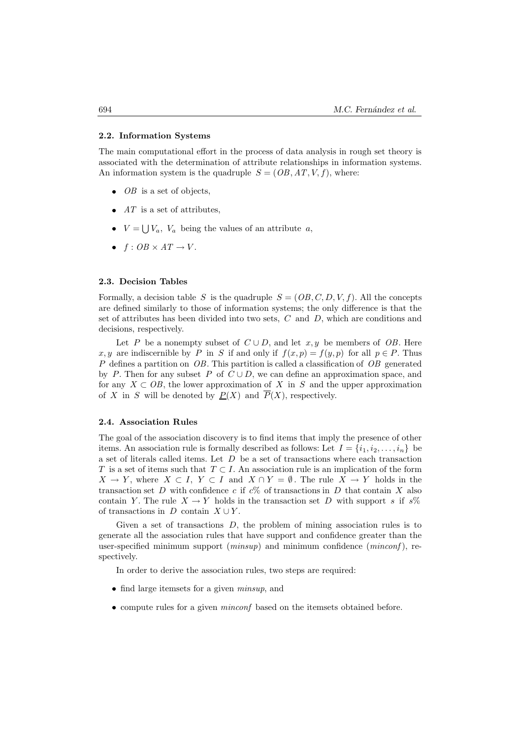## **2.2. Information Systems**

The main computational effort in the process of data analysis in rough set theory is associated with the determination of attribute relationships in information systems. An information system is the quadruple  $S = (OB, AT, V, f)$ , where:

- *OB* is a set of objects,
- *AT* is a set of attributes,
- $V = \bigcup V_a$ ,  $V_a$  being the values of an attribute *a*,
- $f: OB \times AT \rightarrow V$ .

#### **2.3. Decision Tables**

Formally, a decision table *S* is the quadruple  $S = (OB, C, D, V, f)$ . All the concepts are defined similarly to those of information systems; the only difference is that the set of attributes has been divided into two sets, *C* and *D*, which are conditions and decisions, respectively.

Let *P* be a nonempty subset of  $C \cup D$ , and let  $x, y$  be members of *OB*. Here *x, y* are indiscernible by *P* in *S* if and only if  $f(x, p) = f(y, p)$  for all  $p \in P$ . Thus *P* defines a partition on *OB*. This partition is called a classification of *OB* generated by *P*. Then for any subset *P* of  $C \cup D$ , we can define an approximation space, and for any  $X \subset OB$ , the lower approximation of X in S and the upper approximation of *X* in *S* will be denoted by  $P(X)$  and  $\overline{P}(X)$ , respectively.

### **2.4. Association Rules**

The goal of the association discovery is to find items that imply the presence of other items. An association rule is formally described as follows: Let  $I = \{i_1, i_2, \ldots, i_n\}$  be a set of literals called items. Let *D* be a set of transactions where each transaction *T* is a set of items such that *T* ⊂ *I*. An association rule is an implication of the form *X* → *Y*, where *X* ⊂ *I*, *Y* ⊂ *I* and *X* ∩ *Y* =  $\emptyset$ . The rule *X* → *Y* holds in the transaction set *D* with confidence *c* if *c*% of transactions in *D* that contain *X* also contain *Y*. The rule  $X \to Y$  holds in the transaction set *D* with support *s* if *s*% of transactions in  $D$  contain  $X \cup Y$ .

Given a set of transactions *D*, the problem of mining association rules is to generate all the association rules that have support and confidence greater than the user-specified minimum support (*minsup*) and minimum confidence (*minconf* ), respectively.

In order to derive the association rules, two steps are required:

- find large itemsets for a given *minsup*, and
- compute rules for a given *minconf* based on the itemsets obtained before.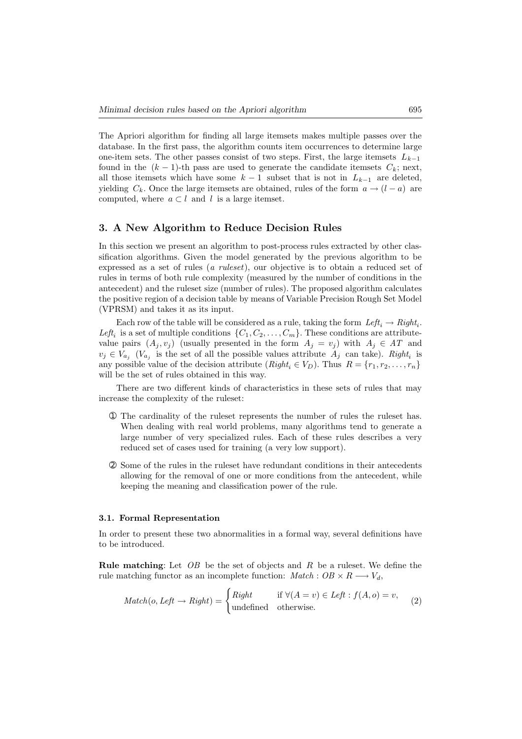The Apriori algorithm for finding all large itemsets makes multiple passes over the database. In the first pass, the algorithm counts item occurrences to determine large one-item sets. The other passes consist of two steps. First, the large itemsets *Lk−*<sup>1</sup> found in the  $(k-1)$ -th pass are used to generate the candidate itemsets  $C_k$ ; next, all those itemsets which have some  $k-1$  subset that is not in  $L_{k-1}$  are deleted, yielding  $C_k$ . Once the large itemsets are obtained, rules of the form  $a \rightarrow (l - a)$  are computed, where  $a \subset l$  and  $l$  is a large itemset.

# **3. A New Algorithm to Reduce Decision Rules**

In this section we present an algorithm to post-process rules extracted by other classification algorithms. Given the model generated by the previous algorithm to be expressed as a set of rules (*a ruleset*), our objective is to obtain a reduced set of rules in terms of both rule complexity (measured by the number of conditions in the antecedent) and the ruleset size (number of rules). The proposed algorithm calculates the positive region of a decision table by means of Variable Precision Rough Set Model (VPRSM) and takes it as its input.

Each row of the table will be considered as a rule, taking the form  $Left_i \rightarrow Right_i$ . Left<sub>i</sub> is a set of multiple conditions  $\{C_1, C_2, \ldots, C_m\}$ . These conditions are attributevalue pairs  $(A_j, v_j)$  (usually presented in the form  $A_j = v_j$ ) with  $A_j \in AT$  and  $v_j \in V_{a_j}$  ( $V_{a_j}$  is the set of all the possible values attribute  $A_j$  can take). *Right*<sub>*i*</sub> is any possible value of the decision attribute  $(Right_i \in V_D)$ . Thus  $R = \{r_1, r_2, \ldots, r_n\}$ will be the set of rules obtained in this way.

There are two different kinds of characteristics in these sets of rules that may increase the complexity of the ruleset:

- ➀ The cardinality of the ruleset represents the number of rules the ruleset has. When dealing with real world problems, many algorithms tend to generate a large number of very specialized rules. Each of these rules describes a very reduced set of cases used for training (a very low support).
- ➁ Some of the rules in the ruleset have redundant conditions in their antecedents allowing for the removal of one or more conditions from the antecedent, while keeping the meaning and classification power of the rule.

## **3.1. Formal Representation**

In order to present these two abnormalities in a formal way, several definitions have to be introduced.

**Rule matching**: Let *OB* be the set of objects and *R* be a ruleset. We define the rule matching functor as an incomplete function:  $Match : OB \times R \longrightarrow V_d$ ,

$$
Match(o, Left \rightarrow Right) = \begin{cases} Right & \text{if } \forall (A = v) \in Left : f(A, o) = v, \\ \text{undefined} & \text{otherwise.} \end{cases}
$$
 (2)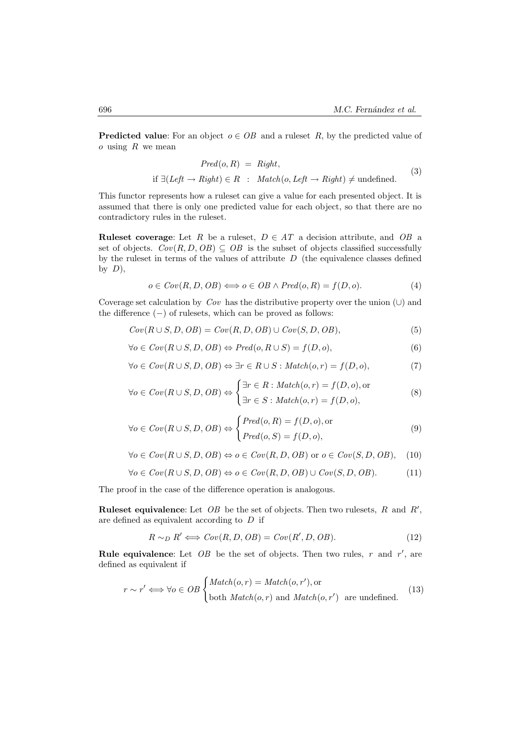**Predicted value**: For an object  $o \in OB$  and a ruleset R, by the predicted value of *o* using *R* we mean

$$
Pred(o, R) = Right,
$$
  
if  $\exists (Left \rightarrow Right) \in R : Match(o, Left \rightarrow Right) \neq undefined.$  (3)

This functor represents how a ruleset can give a value for each presented object. It is assumed that there is only one predicted value for each object, so that there are no contradictory rules in the ruleset.

**Ruleset coverage**: Let *R* be a ruleset,  $D \in AT$  a decision attribute, and *OB* a set of objects.  $Cov(R, D, OB) \subseteq OB$  is the subset of objects classified successfully by the ruleset in terms of the values of attribute *D* (the equivalence classes defined by *D*),

$$
o \in Cov(R, D, OB) \Longleftrightarrow o \in OB \land Pred(o, R) = f(D, o).
$$
 (4)

Coverage set calculation by *Cov* has the distributive property over the union (*∪*) and the difference (*−*) of rulesets, which can be proved as follows:

$$
Cov(R \cup S, D, OB) = Cov(R, D, OB) \cup Cov(S, D, OB),
$$
\n<sup>(5)</sup>

$$
\forall o \in Cov(R \cup S, D, OB) \Leftrightarrow Pred(o, R \cup S) = f(D, o),\tag{6}
$$

$$
\forall o \in Cov(R \cup S, D, OB) \Leftrightarrow \exists r \in R \cup S : Match(o, r) = f(D, o),
$$
\n
$$
(7)
$$

$$
\forall o \in Cov(R \cup S, D, OB) \Leftrightarrow \begin{cases} \exists r \in R : Match(o, r) = f(D, o), \text{or} \\ \exists r \in S : Match(o, r) = f(D, o), \end{cases} \tag{8}
$$

$$
\forall o \in Cov(R \cup S, D, OB) \Leftrightarrow \begin{cases} Pred(o, R) = f(D, o), \text{or} \\ Pred(o, S) = f(D, o), \end{cases}
$$
(9)

$$
\forall o \in Cov(R \cup S, D, OB) \Leftrightarrow o \in Cov(R, D, OB) \text{ or } o \in Cov(S, D, OB), \quad (10)
$$

$$
\forall o \in Cov(R \cup S, D, OB) \Leftrightarrow o \in Cov(R, D, OB) \cup Cov(S, D, OB). \tag{11}
$$

The proof in the case of the difference operation is analogous.

**Ruleset equivalence:** Let  $OB$  be the set of objects. Then two rulesets,  $R$  and  $R'$ , are defined as equivalent according to *D* if

$$
R \sim_D R' \iff Cov(R, D, OB) = Cov(R', D, OB). \tag{12}
$$

**Rule equivalence**: Let  $OB$  be the set of objects. Then two rules,  $r$  and  $r'$ , are defined as equivalent if

$$
r \sim r' \iff \forall o \in OB \begin{cases} Match(o, r) = Match(o, r'), or \\ both Match(o, r) \text{ and } Match(o, r') \text{ are undefined.} \end{cases} (13)
$$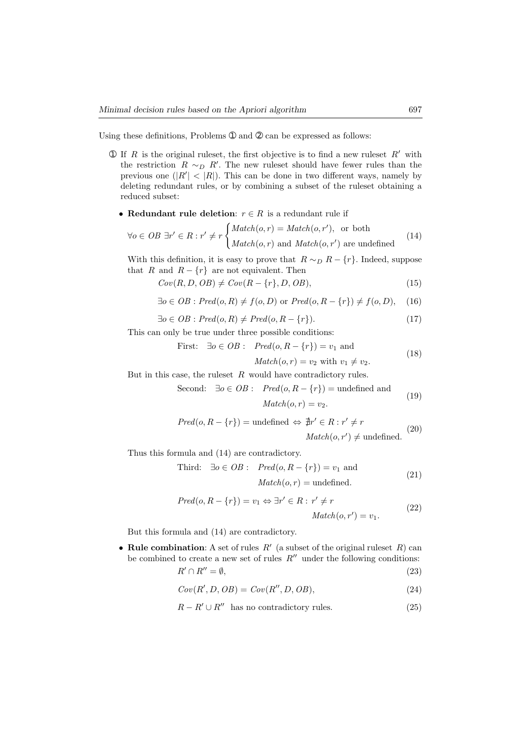Using these definitions, Problems  $\mathcal D$  and  $\mathcal Q$  can be expressed as follows:

- $\Phi$  If *R* is the original ruleset, the first objective is to find a new ruleset *R'* with the restriction  $R \sim_D R'$ . The new ruleset should have fewer rules than the previous one  $(|R'| < |R|)$ . This can be done in two different ways, namely by deleting redundant rules, or by combining a subset of the ruleset obtaining a reduced subset:
	- *•* **Redundant rule deletion**: *r ∈ R* is a redundant rule if

$$
\forall o \in OB \; \exists r' \in R : r' \neq r \begin{cases} Match(o, r) = Match(o, r'), & \text{or both} \\ Match(o, r) & \text{and } Match(o, r') \text{ are undefined} \end{cases} \tag{14}
$$

With this definition, it is easy to prove that  $R \sim_D R - \{r\}$ . Indeed, suppose that *R* and  $R - \{r\}$  are not equivalent. Then

$$
Cov(R, D, OB) \neq Cov(R - \{r\}, D, OB),\tag{15}
$$

$$
\exists o \in OB : Pred(o, R) \neq f(o, D) \text{ or } Pred(o, R - \{r\}) \neq f(o, D), \quad (16)
$$

$$
\exists o \in OB : Pred(o, R) \neq Pred(o, R - \{r\}).\tag{17}
$$

This can only be true under three possible conditions:

First: 
$$
\exists o \in OB
$$
:  $Pred(o, R - \{r\}) = v_1$  and  
\n $Match(o, r) = v_2$  with  $v_1 \neq v_2$ . (18)

But in this case, the ruleset *R* would have contradictory rules.

Second: 
$$
\exists o \in OB
$$
:  $Pred(o, R - \{r\}) = \text{undefined and}$   
 $Match(o, r) = v_2.$  (19)

$$
Pred(o, R - \{r\}) = \text{undefined} \Leftrightarrow \nexists r' \in R : r' \neq r
$$
  

$$
Match(o, r') \neq \text{undefined.}
$$
 (20)

Thus this formula and (14) are contradictory.

Third: 
$$
\exists o \in OB
$$
:  $Pred(o, R - \{r\}) = v_1$  and  
 $Match(o, r) =$  undefined. (21)

$$
Pred(o, R - \{r\}) = v_1 \Leftrightarrow \exists r' \in R : r' \neq r
$$
  

$$
Match(o, r') = v_1.
$$
 (22)

But this formula and (14) are contradictory.

• **Rule combination**: A set of rules  $R'$  (a subset of the original ruleset  $R$ ) can be combined to create a new set of rules  $R''$  under the following conditions:

$$
R' \cap R'' = \emptyset,\tag{23}
$$

$$
Cov(R', D, OB) = Cov(R'', D, OB),
$$
\n(24)

$$
R - R' \cup R''
$$
 has no contradictory rules. (25)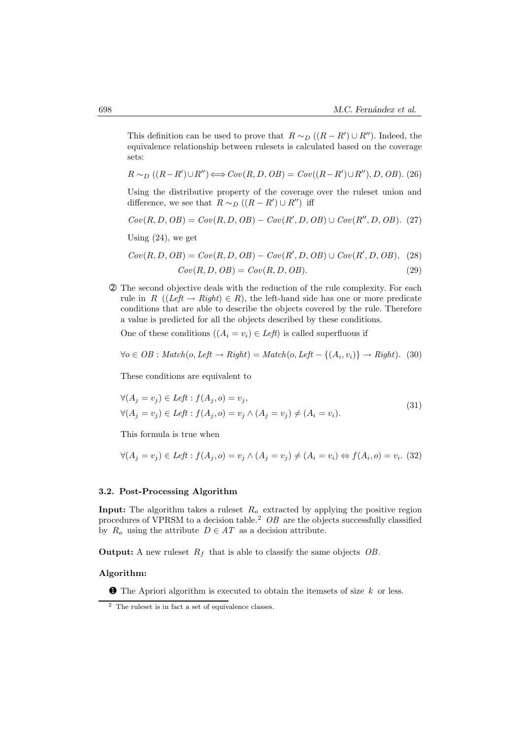This definition can be used to prove that  $R \sim_D ((R - R') \cup R'')$ . Indeed, the equivalence relationship between rulesets is calculated based on the coverage sets:

$$
R \sim_D ((R - R') \cup R'') \Longleftrightarrow Cov(R, D, OB) = Cov((R - R') \cup R''), D, OB).
$$
 (26)

Using the distributive property of the coverage over the ruleset union and difference, we see that  $R \sim_D ((R - R') \cup R'')$  iff

$$
Cov(R, D, OB) = Cov(R, D, OB) - Cov(R', D, OB) \cup Cov(R'', D, OB).
$$
 (27)

Using  $(24)$ , we get

 $Cov(R, D, OB) = Cov(R, D, OB) - Cov(R', D, OB) \cup Cov(R', D, OB),$  (28)

$$
Cov(R, D, OB) = Cov(R, D, OB). \tag{29}
$$

➁ The second objective deals with the reduction of the rule complexity. For each rule in *R* ( $(Left \rightarrow Right) \in R$ ), the left-hand side has one or more predicate conditions that are able to describe the objects covered by the rule. Therefore a value is predicted for all the objects described by these conditions.

One of these conditions  $((A_i = v_i) \in Left)$  is called superfluous if

$$
\forall o \in OB : Match(o, Left \rightarrow Right) = Match(o, Left - \{(A_i, v_i)\} \rightarrow Right). (30)
$$

These conditions are equivalent to

$$
\forall (A_j = v_j) \in Left : f(A_j, o) = v_j,
$$
  

$$
\forall (A_j = v_j) \in Left : f(A_j, o) = v_j \land (A_j = v_j) \neq (A_i = v_i).
$$
  
(31)

This formula is true when

$$
\forall (A_j = v_j) \in \text{Left}: f(A_j, o) = v_j \land (A_j = v_j) \neq (A_i = v_i) \Leftrightarrow f(A_i, o) = v_i. \tag{32}
$$

#### **3.2. Post-Processing Algorithm**

**Input:** The algorithm takes a ruleset *R<sup>o</sup>* extracted by applying the positive region procedures of VPRSM to a decision table.<sup>2</sup> *OB* are the objects successfully classified by  $R_o$  using the attribute  $D \in AT$  as a decision attribute.

**Output:** A new ruleset *R<sup>f</sup>* that is able to classify the same objects *OB*.

#### **Algorithm:**

➊ The Apriori algorithm is executed to obtain the itemsets of size *k* or less.

<sup>2</sup> The ruleset is in fact a set of equivalence classes.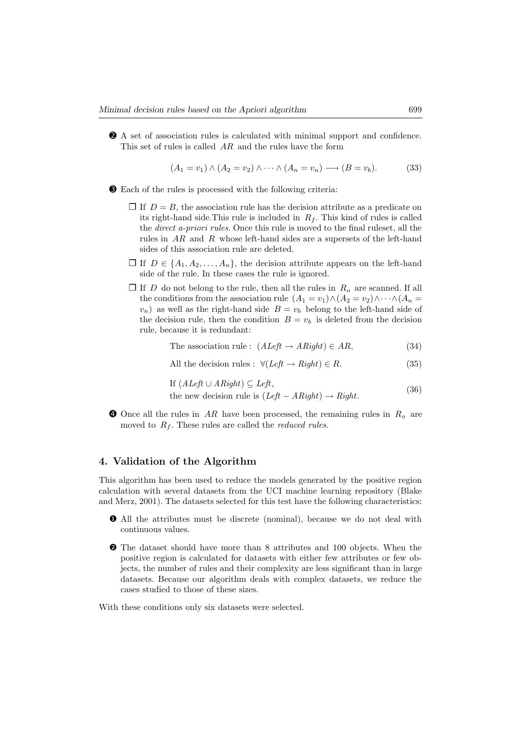➋ A set of association rules is calculated with minimal support and confidence. This set of rules is called *AR* and the rules have the form

$$
(A_1 = v_1) \land (A_2 = v_2) \land \cdots \land (A_n = v_n) \longrightarrow (B = v_b).
$$
 (33)

- ➌ Each of the rules is processed with the following criteria:
	- $\Box$  If  $D = B$ , the association rule has the decision attribute as a predicate on its right-hand side. This rule is included in  $R_f$ . This kind of rules is called the *direct a-priori rules*. Once this rule is moved to the final ruleset, all the rules in *AR* and *R* whose left-hand sides are a supersets of the left-hand sides of this association rule are deleted.
	- $\Box$  If  $D \in \{A_1, A_2, \ldots, A_n\}$ , the decision attribute appears on the left-hand side of the rule. In these cases the rule is ignored.
	- $\Box$  If *D* do not belong to the rule, then all the rules in  $R$ <sup>*o*</sup> are scanned. If all the conditions from the association rule  $(A_1 = v_1) \wedge (A_2 = v_2) \wedge \cdots \wedge (A_n =$  $v_n$ ) as well as the right-hand side  $B = v_b$  belong to the left-hand side of the decision rule, then the condition  $B = v_b$  is deleted from the decision rule, because it is redundant:

The association rule: 
$$
(ALeft \rightarrow ARight) \in AR,
$$
 (34)

All the decision rules: 
$$
\forall (Left \rightarrow Right) \in R. \tag{35}
$$

If 
$$
(ALeft \cup ARight) \subseteq Left
$$
,

- the new decision rule is  $(Left ARight) \rightarrow Right$ . (36)
- ➍ Once all the rules in *AR* have been processed, the remaining rules in *R<sup>o</sup>* are moved to  $R_f$ . These rules are called the *reduced rules*.

# **4. Validation of the Algorithm**

This algorithm has been used to reduce the models generated by the positive region calculation with several datasets from the UCI machine learning repository (Blake and Merz, 2001). The datasets selected for this test have the following characteristics:

- ❶ All the attributes must be discrete (nominal), because we do not deal with continuous values.
- ❷ The dataset should have more than 8 attributes and 100 objects. When the positive region is calculated for datasets with either few attributes or few objects, the number of rules and their complexity are less significant than in large datasets. Because our algorithm deals with complex datasets, we reduce the cases studied to those of these sizes.

With these conditions only six datasets were selected.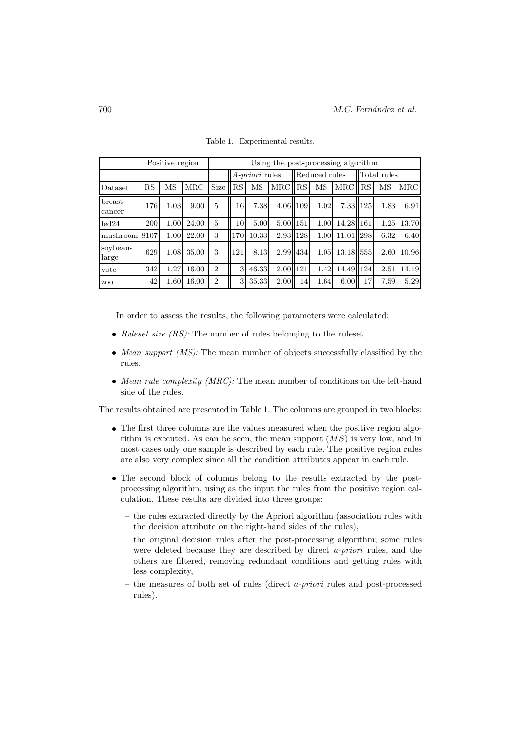|                   | Positive region |      |                    | Using the post-processing algorithm |                       |       |          |               |      |           |                 |      |       |
|-------------------|-----------------|------|--------------------|-------------------------------------|-----------------------|-------|----------|---------------|------|-----------|-----------------|------|-------|
|                   |                 |      |                    |                                     | <i>A-priori</i> rules |       |          | Reduced rules |      |           | Total rules     |      |       |
| Dataset           | RS              | MS   | MRC Size           |                                     | RS                    | MS    | MRC RS   |               | MS   | MRC RS    |                 | MS   | MRC   |
| breast-<br>cancer | 176             | 1.03 | 9.00               | 5                                   | 16                    | 7.38  | 4.06 109 |               | 1.02 | 7.33 125  |                 | 1.83 | 6.91  |
| led24             | 200             | 1.00 | 24.00              | 5                                   | 10                    | 5.00  | 5.00 151 |               | 1.00 | 14.28 161 |                 | 1.25 | 13.70 |
| mushroom          | 8107            | 1.00 | 22.00 <sup> </sup> | 3                                   | 170                   | 10.33 | 2.93 128 |               | 1.00 | 11.01     | $\parallel$ 298 | 6.32 | 6.40  |
| soybean-<br>large | 629             | 1.08 | 35.00              | 3                                   | 121                   | 8.13  | 2.99 434 |               | 1.05 | 13.18 555 |                 | 2.60 | 10.96 |
| vote              | 342             | 1.27 | 16.00              | $\overline{2}$                      | $\mathbf{R}$          | 46.33 | 2.00 121 |               | 1.42 | 14.49 124 |                 | 2.51 | 14.19 |
| Z <sub>O</sub> O  | 42              | 1.60 | 16.00              | $\overline{2}$                      | 3                     | 35.33 | 2.00     | 14            | 1.64 | 6.00      | 17              | 7.59 | 5.29  |

Table 1. Experimental results.

In order to assess the results, the following parameters were calculated:

- *Ruleset size (RS):* The number of rules belonging to the ruleset.
- *Mean support (MS):* The mean number of objects successfully classified by the rules.
- *Mean rule complexity (MRC):* The mean number of conditions on the left-hand side of the rules.

The results obtained are presented in Table 1. The columns are grouped in two blocks:

- The first three columns are the values measured when the positive region algorithm is executed. As can be seen, the mean support (*MS*) is very low, and in most cases only one sample is described by each rule. The positive region rules are also very complex since all the condition attributes appear in each rule.
- The second block of columns belong to the results extracted by the postprocessing algorithm, using as the input the rules from the positive region calculation. These results are divided into three groups:
	- the rules extracted directly by the Apriori algorithm (association rules with the decision attribute on the right-hand sides of the rules),
	- the original decision rules after the post-processing algorithm; some rules were deleted because they are described by direct *a-priori* rules, and the others are filtered, removing redundant conditions and getting rules with less complexity,
	- the measures of both set of rules (direct *a-priori* rules and post-processed rules).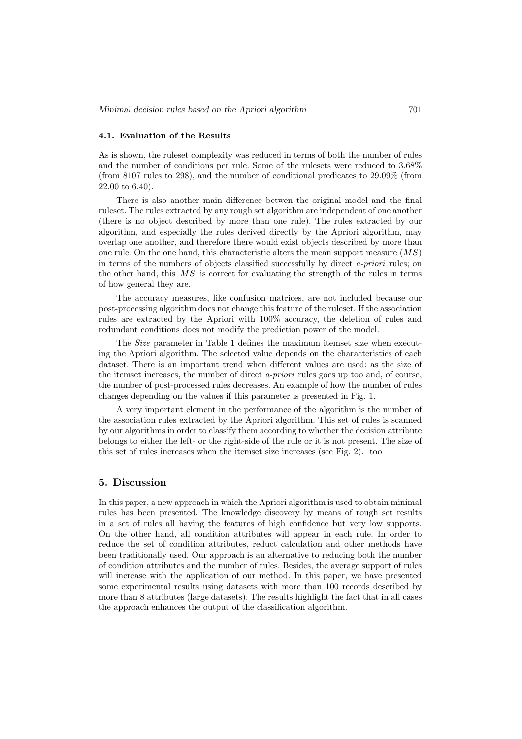## **4.1. Evaluation of the Results**

As is shown, the ruleset complexity was reduced in terms of both the number of rules and the number of conditions per rule. Some of the rulesets were reduced to 3.68% (from 8107 rules to 298), and the number of conditional predicates to 29.09% (from 22.00 to 6.40).

There is also another main difference betwen the original model and the final ruleset. The rules extracted by any rough set algorithm are independent of one another (there is no object described by more than one rule). The rules extracted by our algorithm, and especially the rules derived directly by the Apriori algorithm, may overlap one another, and therefore there would exist objects described by more than one rule. On the one hand, this characteristic alters the mean support measure (*MS*) in terms of the numbers of objects classified successfully by direct *a-priori* rules; on the other hand, this *MS* is correct for evaluating the strength of the rules in terms of how general they are.

The accuracy measures, like confusion matrices, are not included because our post-processing algorithm does not change this feature of the ruleset. If the association rules are extracted by the Apriori with 100% accuracy, the deletion of rules and redundant conditions does not modify the prediction power of the model.

The *Size* parameter in Table 1 defines the maximum itemset size when executing the Apriori algorithm. The selected value depends on the characteristics of each dataset. There is an important trend when different values are used: as the size of the itemset increases, the number of direct *a-priori* rules goes up too and, of course, the number of post-processed rules decreases. An example of how the number of rules changes depending on the values if this parameter is presented in Fig. 1.

A very important element in the performance of the algorithm is the number of the association rules extracted by the Apriori algorithm. This set of rules is scanned by our algorithms in order to classify them according to whether the decision attribute belongs to either the left- or the right-side of the rule or it is not present. The size of this set of rules increases when the itemset size increases (see Fig. 2). too

# **5. Discussion**

In this paper, a new approach in which the Apriori algorithm is used to obtain minimal rules has been presented. The knowledge discovery by means of rough set results in a set of rules all having the features of high confidence but very low supports. On the other hand, all condition attributes will appear in each rule. In order to reduce the set of condition attributes, reduct calculation and other methods have been traditionally used. Our approach is an alternative to reducing both the number of condition attributes and the number of rules. Besides, the average support of rules will increase with the application of our method. In this paper, we have presented some experimental results using datasets with more than 100 records described by more than 8 attributes (large datasets). The results highlight the fact that in all cases the approach enhances the output of the classification algorithm.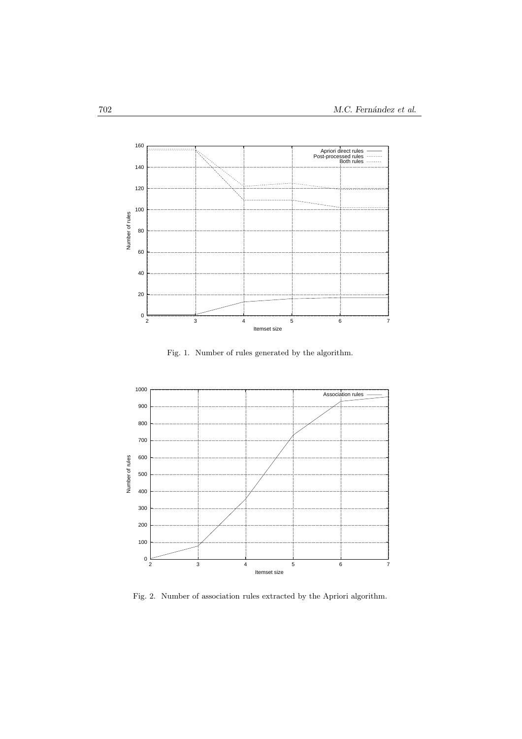

Fig. 1. Number of rules generated by the algorithm.



Fig. 2. Number of association rules extracted by the Apriori algorithm.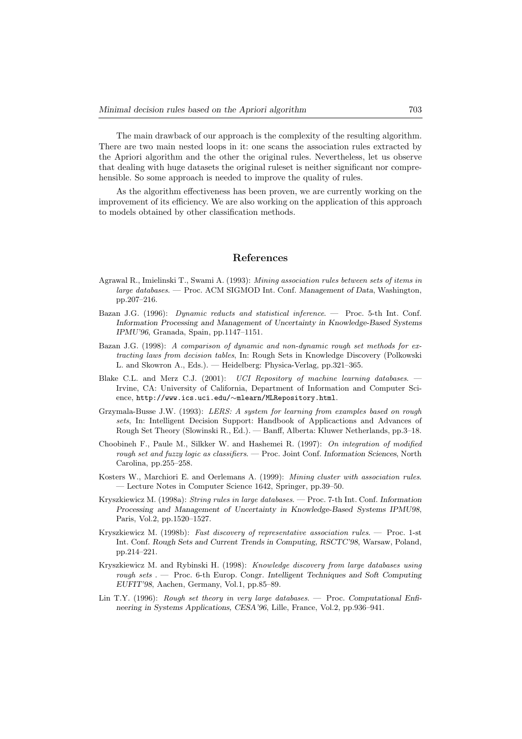The main drawback of our approach is the complexity of the resulting algorithm. There are two main nested loops in it: one scans the association rules extracted by the Apriori algorithm and the other the original rules. Nevertheless, let us observe that dealing with huge datasets the original ruleset is neither significant nor comprehensible. So some approach is needed to improve the quality of rules.

As the algorithm effectiveness has been proven, we are currently working on the improvement of its efficiency. We are also working on the application of this approach to models obtained by other classification methods.

## **References**

- Agrawal R., Imielinski T., Swami A. (1993): *Mining association rules between sets of items in large databases*. — Proc. ACM SIGMOD Int. Conf. *Management of Data*, Washington, pp.207–216.
- Bazan J.G. (1996): *Dynamic reducts and statistical inference*. Proc. 5-th Int. Conf. *Information Processing and Management of Uncertainty in Knowledge-Based Systems IPMU'96*, Granada, Spain, pp.1147–1151.
- Bazan J.G. (1998): *A comparison of dynamic and non-dynamic rough set methods for extracting laws from decision tables*, In: Rough Sets in Knowledge Discovery (Polkowski L. and Skowron A., Eds.). — Heidelberg: Physica-Verlag, pp.321–365.
- Blake C.L. and Merz C.J. (2001): *UCI Repository of machine learning databases*. Irvine, CA: University of California, Department of Information and Computer Science, http://www.ics.uci.edu/*∼*mlearn/MLRepository.html.
- Grzymala-Busse J.W. (1993): *LERS: A system for learning from examples based on rough sets*, In: Intelligent Decision Support: Handbook of Applicactions and Advances of Rough Set Theory (Slowinski R., Ed.). — Banff, Alberta: Kluwer Netherlands, pp.3–18.
- Choobineh F., Paule M., Silkker W. and Hashemei R. (1997): *On integration of modified rough set and fuzzy logic as classifiers*. — Proc. Joint Conf. *Information Sciences*, North Carolina, pp.255–258.
- Kosters W., Marchiori E. and Oerlemans A. (1999): *Mining cluster with association rules*. — Lecture Notes in Computer Science 1642, Springer, pp.39–50.
- Kryszkiewicz M. (1998a): *String rules in large databases*. Proc. 7-th Int. Conf. *Information Processing and Management of Uncertainty in Knowledge-Based Systems IPMU98*, Paris, Vol.2, pp.1520–1527.
- Kryszkiewicz M. (1998b): *Fast discovery of representative association rules*. Proc. 1-st Int. Conf. *Rough Sets and Current Trends in Computing, RSCTC'98*, Warsaw, Poland, pp.214–221.
- Kryszkiewicz M. and Rybinski H. (1998): *Knowledge discovery from large databases using rough sets* . — Proc. 6-th Europ. Congr. *Intelligent Techniques and Soft Computing EUFIT'98*, Aachen, Germany, Vol.1, pp.85–89.
- Lin T.Y. (1996): *Rough set theory in very large databases*. Proc. *Computational Enfineering in Systems Applications, CESA'96*, Lille, France, Vol.2, pp.936–941.